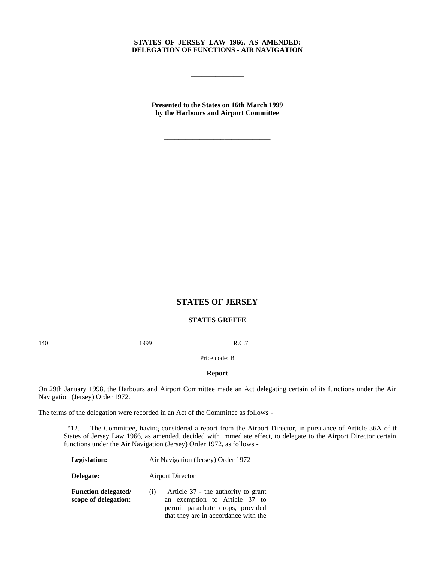## **STATES OF JERSEY LAW 1966, AS AMENDED: DELEGATION OF FUNCTIONS - AIR NAVIGATION**

**\_\_\_\_\_\_\_\_\_\_\_\_\_\_\_**

**Presented to the States on 16th March 1999 by the Harbours and Airport Committee**

**\_\_\_\_\_\_\_\_\_\_\_\_\_\_\_\_\_\_\_\_\_\_\_\_\_\_\_\_\_\_**

# **STATES OF JERSEY**

# **STATES GREFFE**

140 **1999** R.C.7

Price code: B

#### **Report**

On 29th January 1998, the Harbours and Airport Committee made an Act delegating certain of its functions under the Air Navigation (Jersey) Order 1972.

The terms of the delegation were recorded in an Act of the Committee as follows -

 "12. The Committee, having considered a report from the Airport Director, in pursuance of Article 36A of the States of Jersey Law 1966, as amended, decided with immediate effect, to delegate to the Airport Director certain functions under the Air Navigation (Jersey) Order 1972, as follows -

**Legislation:** Air Navigation (Jersey) Order 1972 **Delegate:** Airport Director **Function delegated/ scope of delegation:** (i) Article 37 - the authority to grant an exemption to Article 37 to permit parachute drops, provided that they are in accordance with the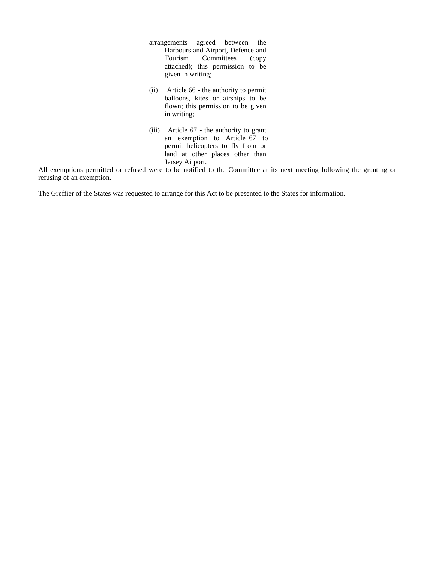- arrangements agreed between the Harbours and Airport, Defence and Tourism Committees (copy attached); this permission to be given in writing;
- (ii) Article 66 the authority to permit balloons, kites or airships to be flown; this permission to be given in writing;
- (iii) Article 67 the authority to grant an exemption to Article 67 to permit helicopters to fly from or land at other places other than Jersey Airport.

All exemptions permitted or refused were to be notified to the Committee at its next meeting following the granting or refusing of an exemption.

The Greffier of the States was requested to arrange for this Act to be presented to the States for information.